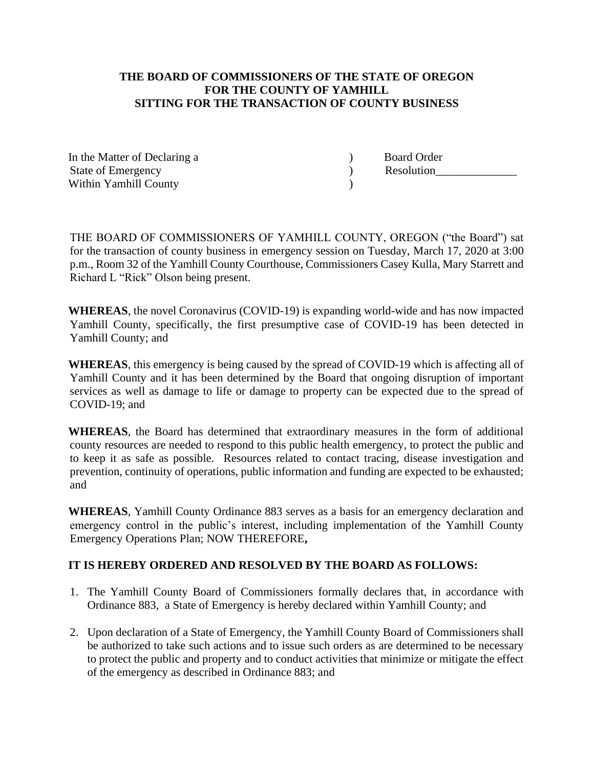## **THE BOARD OF COMMISSIONERS OF THE STATE OF OREGON FOR THE COUNTY OF YAMHILL SITTING FOR THE TRANSACTION OF COUNTY BUSINESS**

In the Matter of Declaring a  $\qquad \qquad$  Board Order State of Emergency and the state of Emergency and the Resolution Within Yamhill County (1998)

THE BOARD OF COMMISSIONERS OF YAMHILL COUNTY, OREGON ("the Board") sat for the transaction of county business in emergency session on Tuesday, March 17, 2020 at 3:00 p.m., Room 32 of the Yamhill County Courthouse, Commissioners Casey Kulla, Mary Starrett and Richard L "Rick" Olson being present.

**WHEREAS**, the novel Coronavirus (COVID-19) is expanding world-wide and has now impacted Yamhill County, specifically, the first presumptive case of COVID-19 has been detected in Yamhill County; and

**WHEREAS**, this emergency is being caused by the spread of COVID-19 which is affecting all of Yamhill County and it has been determined by the Board that ongoing disruption of important services as well as damage to life or damage to property can be expected due to the spread of COVID-19; and

**WHEREAS**, the Board has determined that extraordinary measures in the form of additional county resources are needed to respond to this public health emergency, to protect the public and to keep it as safe as possible. Resources related to contact tracing, disease investigation and prevention, continuity of operations, public information and funding are expected to be exhausted; and

**WHEREAS**, Yamhill County Ordinance 883 serves as a basis for an emergency declaration and emergency control in the public's interest, including implementation of the Yamhill County Emergency Operations Plan; NOW THEREFORE**,**

## **IT IS HEREBY ORDERED AND RESOLVED BY THE BOARD AS FOLLOWS:**

- 1. The Yamhill County Board of Commissioners formally declares that, in accordance with Ordinance 883, a State of Emergency is hereby declared within Yamhill County; and
- 2. Upon declaration of a State of Emergency, the Yamhill County Board of Commissioners shall be authorized to take such actions and to issue such orders as are determined to be necessary to protect the public and property and to conduct activities that minimize or mitigate the effect of the emergency as described in Ordinance 883; and